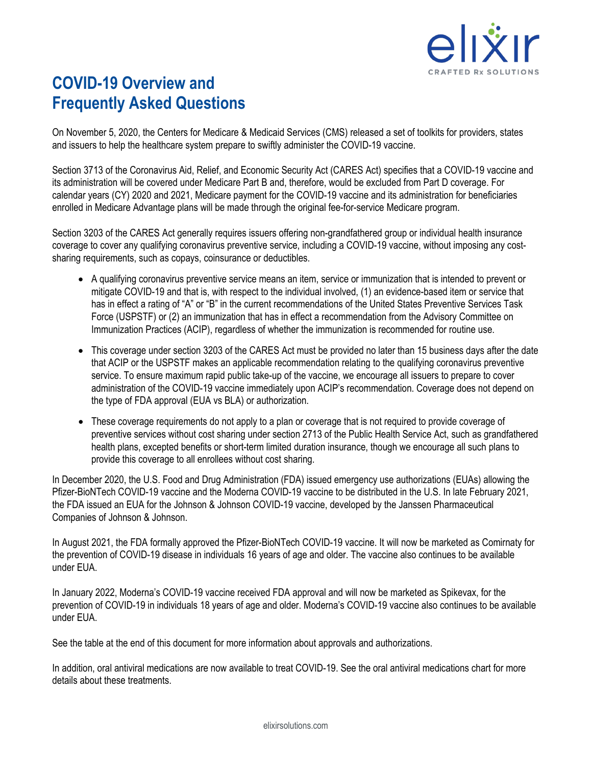

# **COVID-19 Overview and Frequently Asked Questions**

On November 5, 2020, the Centers for Medicare & Medicaid Services (CMS) released a set of toolkits for providers, states and issuers to help the healthcare system prepare to swiftly administer the COVID-19 vaccine.

Section 3713 of the Coronavirus Aid, Relief, and Economic Security Act (CARES Act) specifies that a COVID-19 vaccine and its administration will be covered under Medicare Part B and, therefore, would be excluded from Part D coverage. For calendar years (CY) 2020 and 2021, Medicare payment for the COVID-19 vaccine and its administration for beneficiaries enrolled in Medicare Advantage plans will be made through the original fee-for-service Medicare program.

Section 3203 of the CARES Act generally requires issuers offering non-grandfathered group or individual health insurance coverage to cover any qualifying coronavirus preventive service, including a COVID-19 vaccine, without imposing any costsharing requirements, such as copays, coinsurance or deductibles.

- A qualifying coronavirus preventive service means an item, service or immunization that is intended to prevent or mitigate COVID-19 and that is, with respect to the individual involved, (1) an evidence-based item or service that has in effect a rating of "A" or "B" in the current recommendations of the United States Preventive Services Task Force (USPSTF) or (2) an immunization that has in effect a recommendation from the Advisory Committee on Immunization Practices (ACIP), regardless of whether the immunization is recommended for routine use.
- This coverage under section 3203 of the CARES Act must be provided no later than 15 business days after the date that ACIP or the USPSTF makes an applicable recommendation relating to the qualifying coronavirus preventive service. To ensure maximum rapid public take-up of the vaccine, we encourage all issuers to prepare to cover administration of the COVID-19 vaccine immediately upon ACIP's recommendation. Coverage does not depend on the type of FDA approval (EUA vs BLA) or authorization.
- These coverage requirements do not apply to a plan or coverage that is not required to provide coverage of preventive services without cost sharing under section 2713 of the Public Health Service Act, such as grandfathered health plans, excepted benefits or short-term limited duration insurance, though we encourage all such plans to provide this coverage to all enrollees without cost sharing.

In December 2020, the U.S. Food and Drug Administration (FDA) issued emergency use authorizations (EUAs) allowing the Pfizer-BioNTech COVID-19 vaccine and the Moderna COVID-19 vaccine to be distributed in the U.S. In late February 2021, the FDA issued an EUA for the Johnson & Johnson COVID-19 vaccine, developed by the Janssen Pharmaceutical Companies of Johnson & Johnson.

In August 2021, the FDA formally approved the Pfizer-BioNTech COVID-19 vaccine. It will now be marketed as Comirnaty for the prevention of COVID-19 disease in individuals 16 years of age and older. The vaccine also continues to be available under EUA.

In January 2022, Moderna's COVID-19 vaccine received FDA approval and will now be marketed as Spikevax, for the prevention of COVID-19 in individuals 18 years of age and older. Moderna's COVID-19 vaccine also continues to be available under EUA.

See the table at the end of this document for more information about approvals and authorizations.

In addition, oral antiviral medications are now available to treat COVID-19. See the oral antiviral medications chart for more details about these treatments.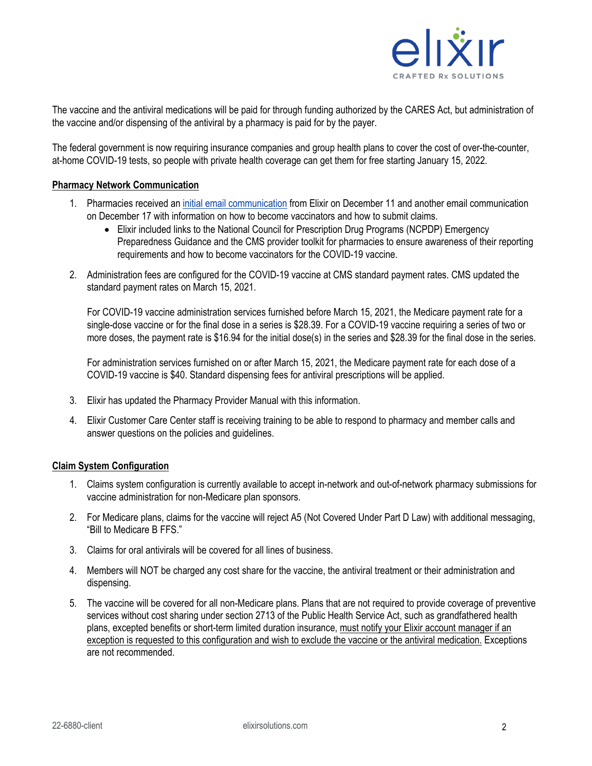

The vaccine and the antiviral medications will be paid for through funding authorized by the CARES Act, but administration of the vaccine and/or dispensing of the antiviral by a pharmacy is paid for by the payer.

The federal government is now requiring insurance companies and group health plans to cover the cost of over-the-counter, at-home COVID-19 tests, so people with private health coverage can get them for free starting January 15, 2022.

#### **Pharmacy Network Communication**

- 1. Pharmacies received an [initial email communication](https://www.elixirsolutions.com/providers) from Elixir on December 11 and another email communication on December 17 with information on how to become vaccinators and how to submit claims.
	- Elixir included links to the National Council for Prescription Drug Programs (NCPDP) Emergency Preparedness Guidance and the CMS provider toolkit for pharmacies to ensure awareness of their reporting requirements and how to become vaccinators for the COVID-19 vaccine.
- 2. Administration fees are configured for the COVID-19 vaccine at CMS standard payment rates. CMS updated the standard payment rates on March 15, 2021.

For COVID-19 vaccine administration services furnished before March 15, 2021, the Medicare payment rate for a single-dose vaccine or for the final dose in a series is \$28.39. For a COVID-19 vaccine requiring a series of two or more doses, the payment rate is \$16.94 for the initial dose(s) in the series and \$28.39 for the final dose in the series.

For administration services furnished on or after March 15, 2021, the Medicare payment rate for each dose of a COVID-19 vaccine is \$40. Standard dispensing fees for antiviral prescriptions will be applied.

- 3. Elixir has updated the Pharmacy Provider Manual with this information.
- 4. Elixir Customer Care Center staff is receiving training to be able to respond to pharmacy and member calls and answer questions on the policies and guidelines.

#### **Claim System Configuration**

- 1. Claims system configuration is currently available to accept in-network and out-of-network pharmacy submissions for vaccine administration for non-Medicare plan sponsors.
- 2. For Medicare plans, claims for the vaccine will reject A5 (Not Covered Under Part D Law) with additional messaging, "Bill to Medicare B FFS."
- 3. Claims for oral antivirals will be covered for all lines of business.
- 4. Members will NOT be charged any cost share for the vaccine, the antiviral treatment or their administration and dispensing.
- 5. The vaccine will be covered for all non-Medicare plans. Plans that are not required to provide coverage of preventive services without cost sharing under section 2713 of the Public Health Service Act, such as grandfathered health plans, excepted benefits or short-term limited duration insurance, must notify your Elixir account manager if an exception is requested to this configuration and wish to exclude the vaccine or the antiviral medication. Exceptions are not recommended.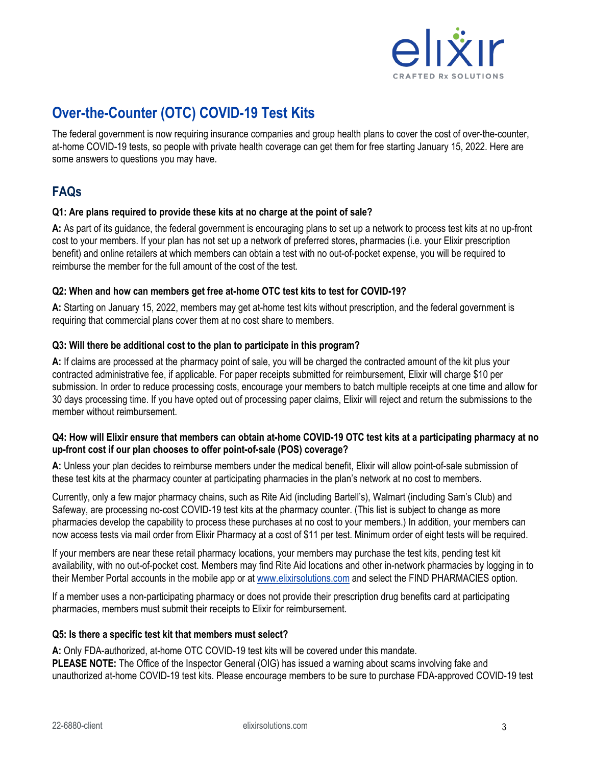

# **Over-the-Counter (OTC) COVID-19 Test Kits**

The federal government is now requiring insurance companies and group health plans to cover the cost of over-the-counter, at-home COVID-19 tests, so people with private health coverage can get them for free starting January 15, 2022. Here are some answers to questions you may have.

# **FAQs**

# **Q1: Are plans required to provide these kits at no charge at the point of sale?**

**A:** As part of its guidance, the federal government is encouraging plans to set up a network to process test kits at no up-front cost to your members. If your plan has not set up a network of preferred stores, pharmacies (i.e. your Elixir prescription benefit) and online retailers at which members can obtain a test with no out-of-pocket expense, you will be required to reimburse the member for the full amount of the cost of the test.

# **Q2: When and how can members get free at-home OTC test kits to test for COVID-19?**

**A:** Starting on January 15, 2022, members may get at-home test kits without prescription, and the federal government is requiring that commercial plans cover them at no cost share to members.

# **Q3: Will there be additional cost to the plan to participate in this program?**

**A:** If claims are processed at the pharmacy point of sale, you will be charged the contracted amount of the kit plus your contracted administrative fee, if applicable. For paper receipts submitted for reimbursement, Elixir will charge \$10 per submission. In order to reduce processing costs, encourage your members to batch multiple receipts at one time and allow for 30 days processing time. If you have opted out of processing paper claims, Elixir will reject and return the submissions to the member without reimbursement.

# **Q4: How will Elixir ensure that members can obtain at-home COVID-19 OTC test kits at a participating pharmacy at no up-front cost if our plan chooses to offer point-of-sale (POS) coverage?**

**A:** Unless your plan decides to reimburse members under the medical benefit, Elixir will allow point-of-sale submission of these test kits at the pharmacy counter at participating pharmacies in the plan's network at no cost to members.

Currently, only a few major pharmacy chains, such as Rite Aid (including Bartell's), Walmart (including Sam's Club) and Safeway, are processing no-cost COVID-19 test kits at the pharmacy counter. (This list is subject to change as more pharmacies develop the capability to process these purchases at no cost to your members.) In addition, your members can now access tests via mail order from Elixir Pharmacy at a cost of \$11 per test. Minimum order of eight tests will be required.

If your members are near these retail pharmacy locations, your members may purchase the test kits, pending test kit availability, with no out-of-pocket cost. Members may find Rite Aid locations and other in-network pharmacies by logging in to their Member Portal accounts in the mobile app or at [www.elixirsolutions.com](https://www.elixirsolutions.com/register&login) and select the FIND PHARMACIES option.

If a member uses a non-participating pharmacy or does not provide their prescription drug benefits card at participating pharmacies, members must submit their receipts to Elixir for reimbursement.

# **Q5: Is there a specific test kit that members must select?**

**A:** Only FDA-authorized, at-home OTC COVID-19 test kits will be covered under this mandate. **PLEASE NOTE:** The Office of the Inspector General (OIG) has issued a warning about scams involving fake and unauthorized at-home COVID-19 test kits. Please encourage members to be sure to purchase FDA-approved COVID-19 test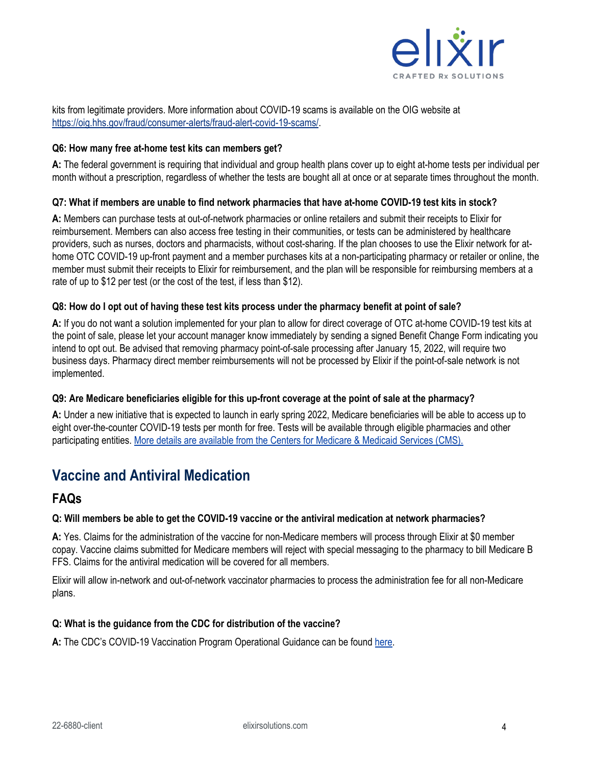

kits from legitimate providers. More information about COVID-19 scams is available on the OIG website at [https://oig.hhs.gov/fraud/consumer-alerts/fraud-alert-covid-19-scams/.](https://oig.hhs.gov/fraud/consumer-alerts/fraud-alert-covid-19-scams/)

#### **Q6: How many free at-home test kits can members get?**

**A:** The federal government is requiring that individual and group health plans cover up to eight at-home tests per individual per month without a prescription, regardless of whether the tests are bought all at once or at separate times throughout the month.

# **Q7: What if members are unable to find network pharmacies that have at-home COVID-19 test kits in stock?**

**A:** Members can purchase tests at out-of-network pharmacies or online retailers and submit their receipts to Elixir for reimbursement. Members can also access free testing in their communities, or tests can be administered by healthcare providers, such as nurses, doctors and pharmacists, without cost-sharing. If the plan chooses to use the Elixir network for athome OTC COVID-19 up-front payment and a member purchases kits at a non-participating pharmacy or retailer or online, the member must submit their receipts to Elixir for reimbursement, and the plan will be responsible for reimbursing members at a rate of up to \$12 per test (or the cost of the test, if less than \$12).

#### **Q8: How do I opt out of having these test kits process under the pharmacy benefit at point of sale?**

**A:** If you do not want a solution implemented for your plan to allow for direct coverage of OTC at-home COVID-19 test kits at the point of sale, please let your account manager know immediately by sending a signed Benefit Change Form indicating you intend to opt out. Be advised that removing pharmacy point-of-sale processing after January 15, 2022, will require two business days. Pharmacy direct member reimbursements will not be processed by Elixir if the point-of-sale network is not implemented.

#### **Q9: Are Medicare beneficiaries eligible for this up-front coverage at the point of sale at the pharmacy?**

**A:** Under a new initiative that is expected to launch in early spring 2022, Medicare beneficiaries will be able to access up to eight over-the-counter COVID-19 tests per month for free. Tests will be available through eligible pharmacies and other participating entities[. More details are available from the Centers for Medicare & Medicaid Services \(CMS\).](https://www.cms.gov/files/document/covid-19-over-counter-otc-tests-medicare-frequently-asked-questions.pdf)

# **Vaccine and Antiviral Medication**

# **FAQs**

#### **Q: Will members be able to get the COVID-19 vaccine or the antiviral medication at network pharmacies?**

**A:** Yes. Claims for the administration of the vaccine for non-Medicare members will process through Elixir at \$0 member copay. Vaccine claims submitted for Medicare members will reject with special messaging to the pharmacy to bill Medicare B FFS. Claims for the antiviral medication will be covered for all members.

Elixir will allow in-network and out-of-network vaccinator pharmacies to process the administration fee for all non-Medicare plans.

#### **Q: What is the guidance from the CDC for distribution of the vaccine?**

**A:** The CDC's COVID-19 Vaccination Program Operational Guidance can be found [here.](https://www.cdc.gov/vaccines/covid-19/covid19-vaccination-guidance.html)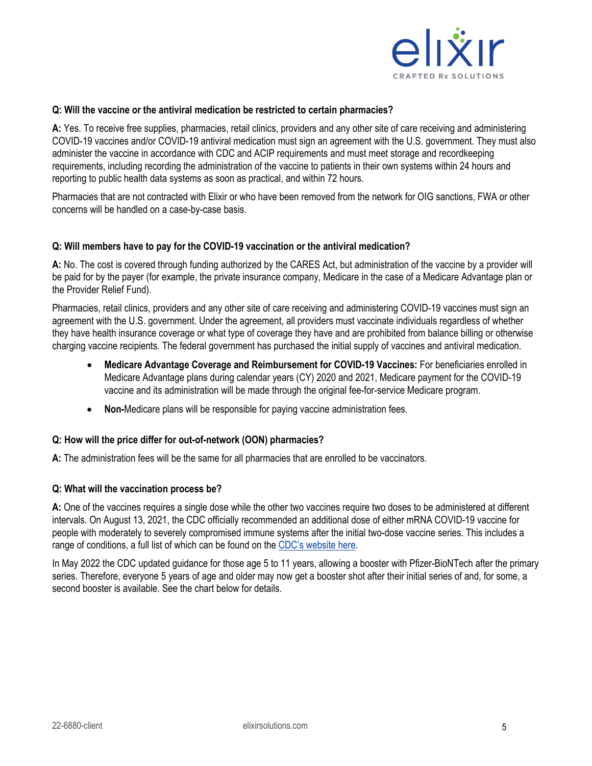

#### **Q: Will the vaccine or the antiviral medication be restricted to certain pharmacies?**

**A:** Yes. To receive free supplies, pharmacies, retail clinics, providers and any other site of care receiving and administering COVID-19 vaccines and/or COVID-19 antiviral medication must sign an agreement with the U.S. government. They must also administer the vaccine in accordance with CDC and ACIP requirements and must meet storage and recordkeeping requirements, including recording the administration of the vaccine to patients in their own systems within 24 hours and reporting to public health data systems as soon as practical, and within 72 hours.

Pharmacies that are not contracted with Elixir or who have been removed from the network for OIG sanctions, FWA or other concerns will be handled on a case-by-case basis.

#### **Q: Will members have to pay for the COVID-19 vaccination or the antiviral medication?**

**A:** No. The cost is covered through funding authorized by the CARES Act, but administration of the vaccine by a provider will be paid for by the payer (for example, the private insurance company, Medicare in the case of a Medicare Advantage plan or the Provider Relief Fund).

Pharmacies, retail clinics, providers and any other site of care receiving and administering COVID-19 vaccines must sign an agreement with the U.S. government. Under the agreement, all providers must vaccinate individuals regardless of whether they have health insurance coverage or what type of coverage they have and are prohibited from balance billing or otherwise charging vaccine recipients. The federal government has purchased the initial supply of vaccines and antiviral medication.

- **Medicare Advantage Coverage and Reimbursement for COVID-19 Vaccines:** For beneficiaries enrolled in Medicare Advantage plans during calendar years (CY) 2020 and 2021, Medicare payment for the COVID-19 vaccine and its administration will be made through the original fee-for-service Medicare program.
- **Non-**Medicare plans will be responsible for paying vaccine administration fees.

#### **Q: How will the price differ for out-of-network (OON) pharmacies?**

**A:** The administration fees will be the same for all pharmacies that are enrolled to be vaccinators.

#### **Q: What will the vaccination process be?**

**A:** One of the vaccines requires a single dose while the other two vaccines require two doses to be administered at different intervals. On August 13, 2021, the CDC officially recommended an additional dose of either mRNA COVID-19 vaccine for people with moderately to severely compromised immune systems after the initial two-dose vaccine series. This includes a range of conditions, a full list of which can be found on the [CDC's website here.](https://www.cdc.gov/coronavirus/2019-ncov/vaccines/recommendations/immuno.html)

In May 2022 the CDC updated guidance for those age 5 to 11 years, allowing a booster with Pfizer-BioNTech after the primary series. Therefore, everyone 5 years of age and older may now get a booster shot after their initial series of and, for some, a second booster is available. See the chart below for details.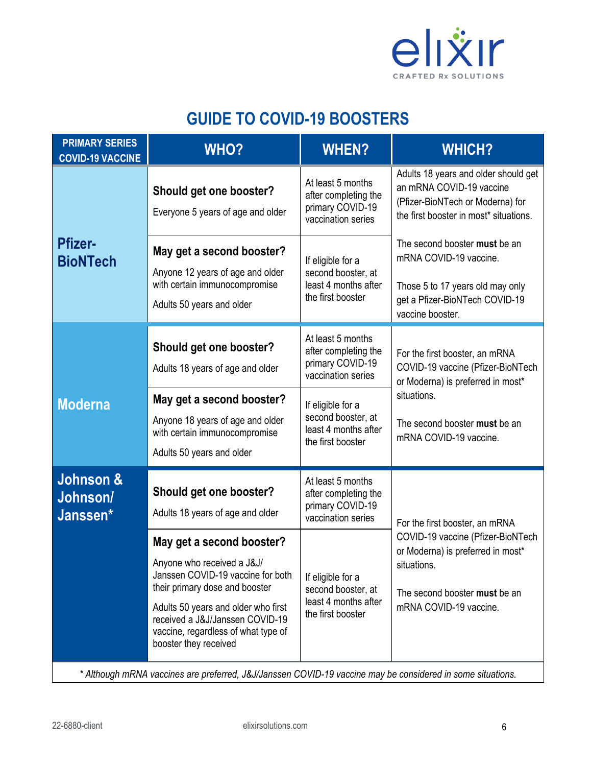

# **GUIDE TO COVID-19 BOOSTERS**

| <b>PRIMARY SERIES</b><br><b>COVID-19 VACCINE</b>                                                           | <b>WHO?</b>                                                                                                                                                                                                                                                                                                                             | <b>WHEN?</b>                                                                                                                                                                | <b>WHICH?</b>                                                                                                                                                                      |  |  |
|------------------------------------------------------------------------------------------------------------|-----------------------------------------------------------------------------------------------------------------------------------------------------------------------------------------------------------------------------------------------------------------------------------------------------------------------------------------|-----------------------------------------------------------------------------------------------------------------------------------------------------------------------------|------------------------------------------------------------------------------------------------------------------------------------------------------------------------------------|--|--|
| <b>Pfizer-</b><br><b>BioNTech</b>                                                                          | Should get one booster?<br>Everyone 5 years of age and older                                                                                                                                                                                                                                                                            | At least 5 months<br>after completing the<br>primary COVID-19<br>vaccination series                                                                                         | Adults 18 years and older should get<br>an mRNA COVID-19 vaccine<br>(Pfizer-BioNTech or Moderna) for<br>the first booster in most* situations.                                     |  |  |
|                                                                                                            | May get a second booster?<br>Anyone 12 years of age and older<br>with certain immunocompromise<br>Adults 50 years and older                                                                                                                                                                                                             | If eligible for a<br>second booster, at<br>least 4 months after<br>the first booster                                                                                        | The second booster must be an<br>mRNA COVID-19 vaccine.<br>Those 5 to 17 years old may only<br>get a Pfizer-BioNTech COVID-19<br>vaccine booster.                                  |  |  |
| <b>Moderna</b>                                                                                             | Should get one booster?<br>Adults 18 years of age and older                                                                                                                                                                                                                                                                             | At least 5 months<br>after completing the<br>primary COVID-19<br>vaccination series                                                                                         | For the first booster, an mRNA<br>COVID-19 vaccine (Pfizer-BioNTech<br>or Moderna) is preferred in most*<br>situations.<br>The second booster must be an<br>mRNA COVID-19 vaccine. |  |  |
|                                                                                                            | May get a second booster?<br>Anyone 18 years of age and older<br>with certain immunocompromise<br>Adults 50 years and older                                                                                                                                                                                                             | If eligible for a<br>second booster, at<br>least 4 months after<br>the first booster                                                                                        |                                                                                                                                                                                    |  |  |
| Johnson &<br>Johnson/<br>Janssen*                                                                          | Should get one booster?<br>Adults 18 years of age and older<br>May get a second booster?<br>Anyone who received a J&J/<br>Janssen COVID-19 vaccine for both<br>their primary dose and booster<br>Adults 50 years and older who first<br>received a J&J/Janssen COVID-19<br>vaccine, regardless of what type of<br>booster they received | At least 5 months<br>after completing the<br>primary COVID-19<br>vaccination series<br>If eligible for a<br>second booster, at<br>least 4 months after<br>the first booster | For the first booster, an mRNA<br>COVID-19 vaccine (Pfizer-BioNTech<br>or Moderna) is preferred in most*<br>situations.<br>The second booster must be an<br>mRNA COVID-19 vaccine. |  |  |
| * Although mRNA vaccines are preferred, J&J/Janssen COVID-19 vaccine may be considered in some situations. |                                                                                                                                                                                                                                                                                                                                         |                                                                                                                                                                             |                                                                                                                                                                                    |  |  |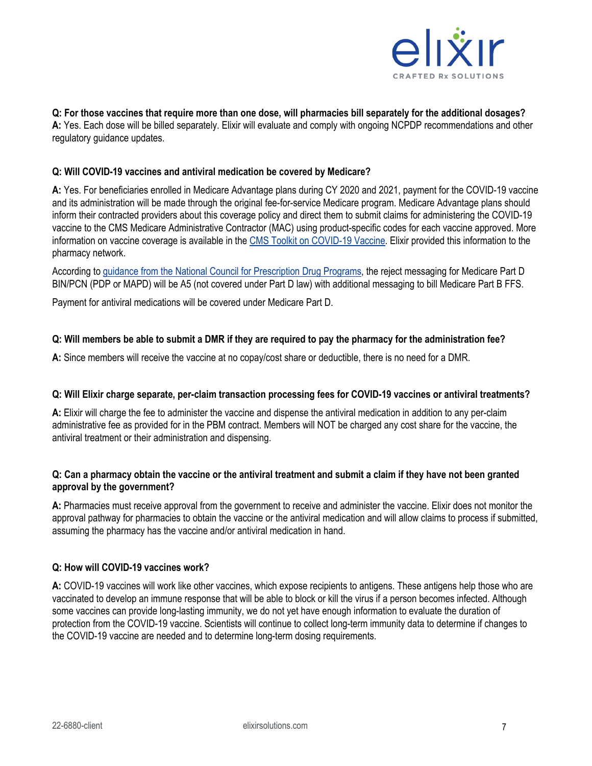

# **Q: For those vaccines that require more than one dose, will pharmacies bill separately for the additional dosages?**

**A:** Yes. Each dose will be billed separately. Elixir will evaluate and comply with ongoing NCPDP recommendations and other regulatory guidance updates.

# **Q: Will COVID-19 vaccines and antiviral medication be covered by Medicare?**

**A:** Yes. For beneficiaries enrolled in Medicare Advantage plans during CY 2020 and 2021, payment for the COVID-19 vaccine and its administration will be made through the original fee-for-service Medicare program. Medicare Advantage plans should inform their contracted providers about this coverage policy and direct them to submit claims for administering the COVID-19 vaccine to the CMS Medicare Administrative Contractor (MAC) using product-specific codes for each vaccine approved. More information on vaccine coverage is available in the [CMS Toolkit on COVID-19 Vaccine.](https://www.cms.gov/files/document/covid-19-toolkit-issuers-ma-plans.pdf-0) Elixir provided this information to the pharmacy network.

According t[o guidance from the National Council for Prescription Drug Programs,](https://ncpdp.org/NCPDP/media/pdf/NCPDPEmergencyPreparednessGuidance.pdf) the reject messaging for Medicare Part D BIN/PCN (PDP or MAPD) will be A5 (not covered under Part D law) with additional messaging to bill Medicare Part B FFS.

Payment for antiviral medications will be covered under Medicare Part D.

# **Q: Will members be able to submit a DMR if they are required to pay the pharmacy for the administration fee?**

**A:** Since members will receive the vaccine at no copay/cost share or deductible, there is no need for a DMR.

# **Q: Will Elixir charge separate, per-claim transaction processing fees for COVID-19 vaccines or antiviral treatments?**

**A:** Elixir will charge the fee to administer the vaccine and dispense the antiviral medication in addition to any per-claim administrative fee as provided for in the PBM contract. Members will NOT be charged any cost share for the vaccine, the antiviral treatment or their administration and dispensing.

# **Q: Can a pharmacy obtain the vaccine or the antiviral treatment and submit a claim if they have not been granted approval by the government?**

**A:** Pharmacies must receive approval from the government to receive and administer the vaccine. Elixir does not monitor the approval pathway for pharmacies to obtain the vaccine or the antiviral medication and will allow claims to process if submitted, assuming the pharmacy has the vaccine and/or antiviral medication in hand.

# **Q: How will COVID-19 vaccines work?**

**A:** COVID-19 vaccines will work like other vaccines, which expose recipients to antigens. These antigens help those who are vaccinated to develop an immune response that will be able to block or kill the virus if a person becomes infected. Although some vaccines can provide long-lasting immunity, we do not yet have enough information to evaluate the duration of protection from the COVID-19 vaccine. Scientists will continue to collect long-term immunity data to determine if changes to the COVID-19 vaccine are needed and to determine long-term dosing requirements.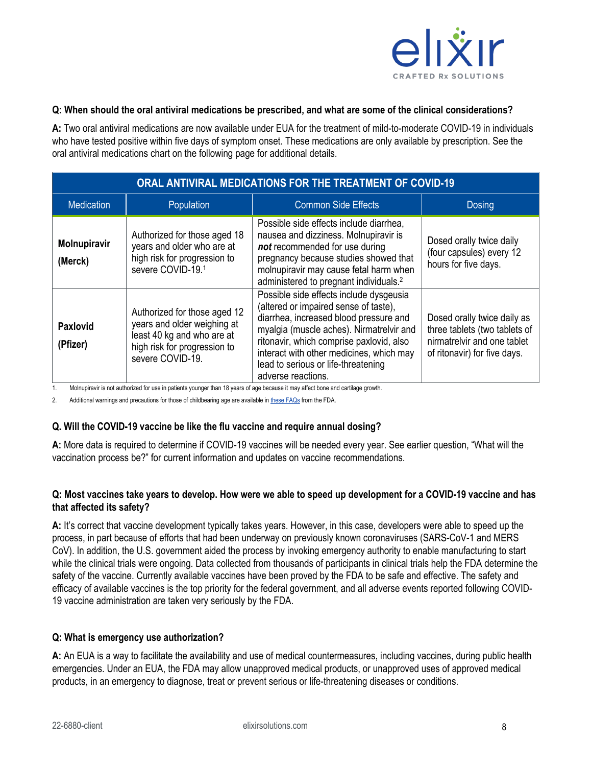

#### **Q: When should the oral antiviral medications be prescribed, and what are some of the clinical considerations?**

**A:** Two oral antiviral medications are now available under EUA for the treatment of mild-to-moderate COVID-19 in individuals who have tested positive within five days of symptom onset. These medications are only available by prescription. See the oral antiviral medications chart on the following page for additional details.

| ORAL ANTIVIRAL MEDICATIONS FOR THE TREATMENT OF COVID-19 |                                                                                                                                               |                                                                                                                                                                                                                                                                                                                             |                                                                                                                             |  |  |  |  |
|----------------------------------------------------------|-----------------------------------------------------------------------------------------------------------------------------------------------|-----------------------------------------------------------------------------------------------------------------------------------------------------------------------------------------------------------------------------------------------------------------------------------------------------------------------------|-----------------------------------------------------------------------------------------------------------------------------|--|--|--|--|
| <b>Medication</b>                                        | Population                                                                                                                                    | <b>Common Side Effects</b>                                                                                                                                                                                                                                                                                                  | <b>Dosing</b>                                                                                                               |  |  |  |  |
| Molnupiravir<br>(Merck)                                  | Authorized for those aged 18<br>years and older who are at<br>high risk for progression to<br>severe COVID-19.1                               | Possible side effects include diarrhea,<br>nausea and dizziness. Molnupiravir is<br>not recommended for use during<br>pregnancy because studies showed that<br>molnupiravir may cause fetal harm when<br>administered to pregnant individuals. <sup>2</sup>                                                                 | Dosed orally twice daily<br>(four capsules) every 12<br>hours for five days.                                                |  |  |  |  |
| Paxlovid<br>(Pfizer)                                     | Authorized for those aged 12<br>years and older weighing at<br>least 40 kg and who are at<br>high risk for progression to<br>severe COVID-19. | Possible side effects include dysgeusia<br>(altered or impaired sense of taste),<br>diarrhea, increased blood pressure and<br>myalgia (muscle aches). Nirmatrelvir and<br>ritonavir, which comprise paxlovid, also<br>interact with other medicines, which may<br>lead to serious or life-threatening<br>adverse reactions. | Dosed orally twice daily as<br>three tablets (two tablets of<br>nirmatrelvir and one tablet<br>of ritonavir) for five days. |  |  |  |  |

1. Molnupiravir is not authorized for use in patients younger than 18 years of age because it may affect bone and cartilage growth.

2. Additional warnings and precautions for those of childbearing age are available i[n these FAQs](https://www.fda.gov/media/155056/download) from the FDA.

# **Q. Will the COVID-19 vaccine be like the flu vaccine and require annual dosing?**

**A:** More data is required to determine if COVID-19 vaccines will be needed every year. See earlier question, "What will the vaccination process be?" for current information and updates on vaccine recommendations.

# **Q: Most vaccines take years to develop. How were we able to speed up development for a COVID-19 vaccine and has that affected its safety?**

**A:** It's correct that vaccine development typically takes years. However, in this case, developers were able to speed up the process, in part because of efforts that had been underway on previously known coronaviruses (SARS-CoV-1 and MERS CoV). In addition, the U.S. government aided the process by invoking emergency authority to enable manufacturing to start while the clinical trials were ongoing. Data collected from thousands of participants in clinical trials help the FDA determine the safety of the vaccine. Currently available vaccines have been proved by the FDA to be safe and effective. The safety and efficacy of available vaccines is the top priority for the federal government, and all adverse events reported following COVID-19 vaccine administration are taken very seriously by the FDA.

# **Q: What is emergency use authorization?**

**A:** An EUA is a way to facilitate the availability and use of medical countermeasures, including vaccines, during public health emergencies. Under an EUA, the FDA may allow unapproved medical products, or unapproved uses of approved medical products, in an emergency to diagnose, treat or prevent serious or life-threatening diseases or conditions.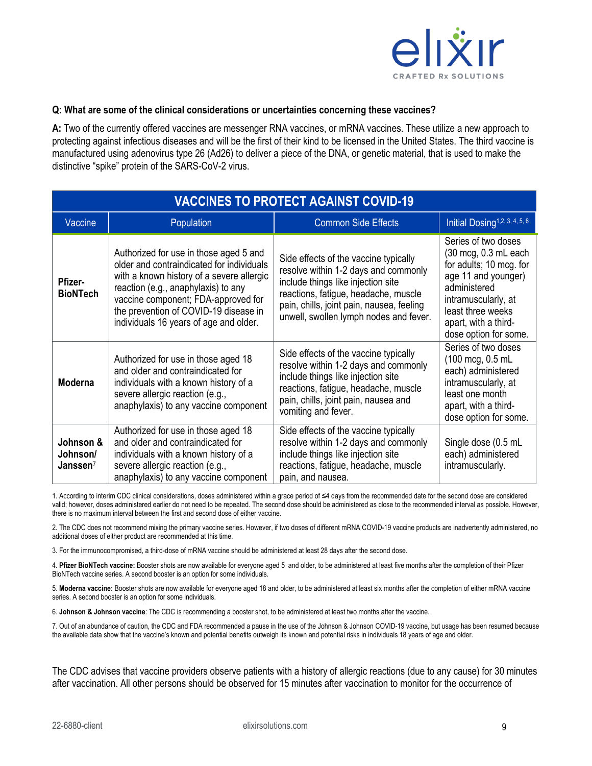

#### **Q: What are some of the clinical considerations or uncertainties concerning these vaccines?**

**A:** Two of the currently offered vaccines are messenger RNA vaccines, or mRNA vaccines. These utilize a new approach to protecting against infectious diseases and will be the first of their kind to be licensed in the United States. The third vaccine is manufactured using adenovirus type 26 (Ad26) to deliver a piece of the DNA, or genetic material, that is used to make the distinctive "spike" protein of the SARS-CoV-2 virus.

| <b>VACCINES TO PROTECT AGAINST COVID-19</b> |                                                                                                                                                                                                                                                                                                   |                                                                                                                                                                                                                                                    |                                                                                                                                                                                                            |  |  |  |
|---------------------------------------------|---------------------------------------------------------------------------------------------------------------------------------------------------------------------------------------------------------------------------------------------------------------------------------------------------|----------------------------------------------------------------------------------------------------------------------------------------------------------------------------------------------------------------------------------------------------|------------------------------------------------------------------------------------------------------------------------------------------------------------------------------------------------------------|--|--|--|
| Vaccine                                     | <b>Population</b>                                                                                                                                                                                                                                                                                 | <b>Common Side Effects</b>                                                                                                                                                                                                                         | Initial Dosing <sup>1,2, 3, 4, 5, 6</sup>                                                                                                                                                                  |  |  |  |
| <b>Pfizer-</b><br><b>BioNTech</b>           | Authorized for use in those aged 5 and<br>older and contraindicated for individuals<br>with a known history of a severe allergic<br>reaction (e.g., anaphylaxis) to any<br>vaccine component; FDA-approved for<br>the prevention of COVID-19 disease in<br>individuals 16 years of age and older. | Side effects of the vaccine typically<br>resolve within 1-2 days and commonly<br>include things like injection site<br>reactions, fatigue, headache, muscle<br>pain, chills, joint pain, nausea, feeling<br>unwell, swollen lymph nodes and fever. | Series of two doses<br>(30 mcg, 0.3 mL each<br>for adults; 10 mcg. for<br>age 11 and younger)<br>administered<br>intramuscularly, at<br>least three weeks<br>apart, with a third-<br>dose option for some. |  |  |  |
| <b>Moderna</b>                              | Authorized for use in those aged 18<br>and older and contraindicated for<br>individuals with a known history of a<br>severe allergic reaction (e.g.,<br>anaphylaxis) to any vaccine component                                                                                                     | Side effects of the vaccine typically<br>resolve within 1-2 days and commonly<br>include things like injection site<br>reactions, fatigue, headache, muscle<br>pain, chills, joint pain, nausea and<br>vomiting and fever.                         | Series of two doses<br>(100 mcg, 0.5 mL<br>each) administered<br>intramuscularly, at<br>least one month<br>apart, with a third-<br>dose option for some.                                                   |  |  |  |
| Johnson &<br>Johnson/<br>Janssen $7$        | Authorized for use in those aged 18<br>and older and contraindicated for<br>individuals with a known history of a<br>severe allergic reaction (e.g.,<br>anaphylaxis) to any vaccine component                                                                                                     | Side effects of the vaccine typically<br>resolve within 1-2 days and commonly<br>include things like injection site<br>reactions, fatigue, headache, muscle<br>pain, and nausea.                                                                   | Single dose (0.5 mL<br>each) administered<br>intramuscularly.                                                                                                                                              |  |  |  |

1. According to interim CDC clinical considerations, doses administered within a grace period of ≤4 days from the recommended date for the second dose are considered valid; however, doses administered earlier do not need to be repeated. The second dose should be administered as close to the recommended interval as possible. However, there is no maximum interval between the first and second dose of either vaccine.

2. The CDC does not recommend mixing the primary vaccine series. However, if two doses of different mRNA COVID-19 vaccine products are inadvertently administered, no additional doses of either product are recommended at this time.

3. For the immunocompromised, a third-dose of mRNA vaccine should be administered at least 28 days after the second dose.

4. **Pfizer BioNTech vaccine:** Booster shots are now available for everyone aged 5 and older, to be administered at least five months after the completion of their Pfizer BioNTech vaccine series. A second booster is an option for some individuals.

5. **Moderna vaccine:** Booster shots are now available for everyone aged 18 and older, to be administered at least six months after the completion of either mRNA vaccine series. A second booster is an option for some individuals.

6. **Johnson & Johnson vaccine**: The CDC is recommending a booster shot, to be administered at least two months after the vaccine.

7. Out of an abundance of caution, the CDC and FDA recommended a pause in the use of the Johnson & Johnson COVID-19 vaccine, but usage has been resumed because the available data show that the vaccine's known and potential benefits outweigh its known and potential risks in individuals 18 years of age and older.

The CDC advises that vaccine providers observe patients with a history of allergic reactions (due to any cause) for 30 minutes after vaccination. All other persons should be observed for 15 minutes after vaccination to monitor for the occurrence of